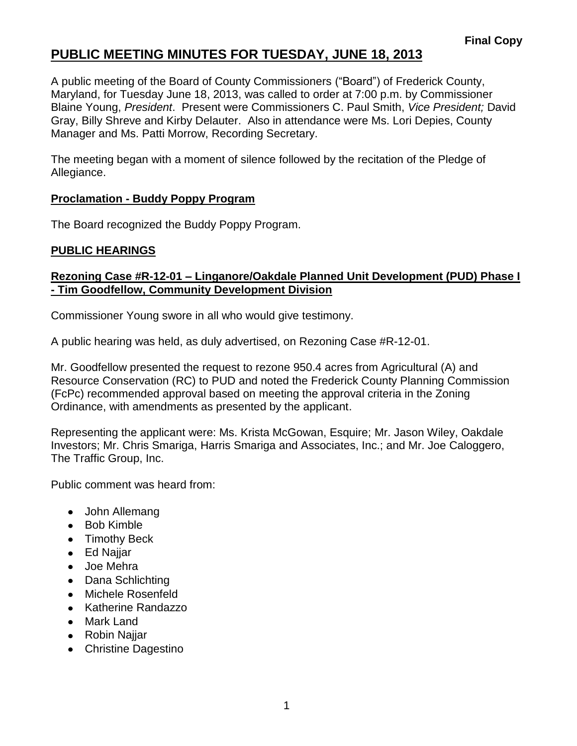# **PUBLIC MEETING MINUTES FOR TUESDAY, JUNE 18, 2013**

A public meeting of the Board of County Commissioners ("Board") of Frederick County, Maryland, for Tuesday June 18, 2013, was called to order at 7:00 p.m. by Commissioner Blaine Young, *President*. Present were Commissioners C. Paul Smith, *Vice President;* David Gray, Billy Shreve and Kirby Delauter. Also in attendance were Ms. Lori Depies, County Manager and Ms. Patti Morrow, Recording Secretary.

The meeting began with a moment of silence followed by the recitation of the Pledge of Allegiance.

### **Proclamation - Buddy Poppy Program**

The Board recognized the Buddy Poppy Program.

## **PUBLIC HEARINGS**

### **Rezoning Case #R-12-01 – Linganore/Oakdale Planned Unit Development (PUD) Phase I - Tim Goodfellow, Community Development Division**

Commissioner Young swore in all who would give testimony.

A public hearing was held, as duly advertised, on Rezoning Case #R-12-01.

Mr. Goodfellow presented the request to rezone 950.4 acres from Agricultural (A) and Resource Conservation (RC) to PUD and noted the Frederick County Planning Commission (FcPc) recommended approval based on meeting the approval criteria in the Zoning Ordinance, with amendments as presented by the applicant.

Representing the applicant were: Ms. Krista McGowan, Esquire; Mr. Jason Wiley, Oakdale Investors; Mr. Chris Smariga, Harris Smariga and Associates, Inc.; and Mr. Joe Caloggero, The Traffic Group, Inc.

Public comment was heard from:

- John Allemang
- Bob Kimble
- Timothy Beck
- Ed Najjar
- Joe Mehra
- Dana Schlichting
- Michele Rosenfeld
- Katherine Randazzo
- Mark Land
- Robin Najjar
- Christine Dagestino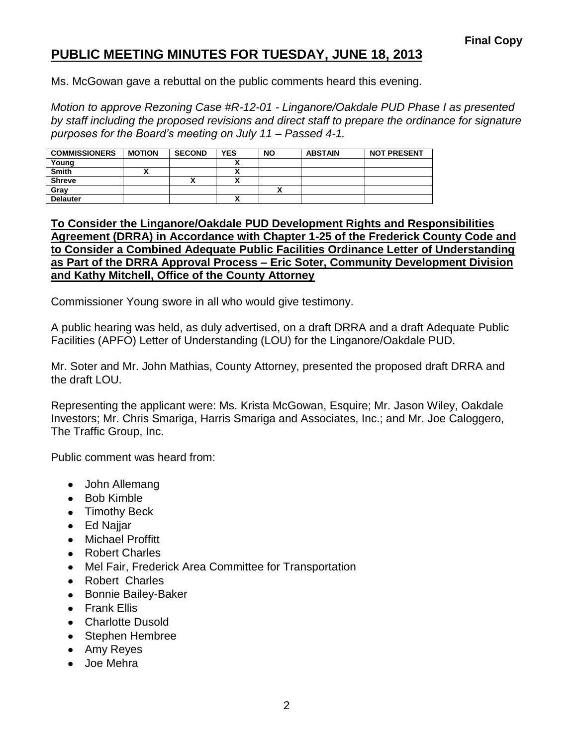## **PUBLIC MEETING MINUTES FOR TUESDAY, JUNE 18, 2013**

Ms. McGowan gave a rebuttal on the public comments heard this evening.

*Motion to approve Rezoning Case #R-12-01 - Linganore/Oakdale PUD Phase I as presented by staff including the proposed revisions and direct staff to prepare the ordinance for signature purposes for the Board's meeting on July 11 – Passed 4-1.*

| <b>COMMISSIONERS</b> | <b>MOTION</b> | <b>SECOND</b> | <b>YES</b> | <b>NO</b> | <b>ABSTAIN</b> | <b>NOT PRESENT</b> |
|----------------------|---------------|---------------|------------|-----------|----------------|--------------------|
| Young                |               |               |            |           |                |                    |
| <b>Smith</b>         |               |               |            |           |                |                    |
| <b>Shreve</b>        |               | ~             |            |           |                |                    |
| Gray                 |               |               |            |           |                |                    |
| <b>Delauter</b>      |               |               |            |           |                |                    |

#### **To Consider the Linganore/Oakdale PUD Development Rights and Responsibilities Agreement (DRRA) in Accordance with Chapter 1-25 of the Frederick County Code and to Consider a Combined Adequate Public Facilities Ordinance Letter of Understanding as Part of the DRRA Approval Process – Eric Soter, Community Development Division and Kathy Mitchell, Office of the County Attorney**

Commissioner Young swore in all who would give testimony.

A public hearing was held, as duly advertised, on a draft DRRA and a draft Adequate Public Facilities (APFO) Letter of Understanding (LOU) for the Linganore/Oakdale PUD.

Mr. Soter and Mr. John Mathias, County Attorney, presented the proposed draft DRRA and the draft LOU.

Representing the applicant were: Ms. Krista McGowan, Esquire; Mr. Jason Wiley, Oakdale Investors; Mr. Chris Smariga, Harris Smariga and Associates, Inc.; and Mr. Joe Caloggero, The Traffic Group, Inc.

Public comment was heard from:

- John Allemang
- Bob Kimble
- Timothy Beck
- Ed Najjar
- Michael Proffitt
- Robert Charles
- Mel Fair, Frederick Area Committee for Transportation
- Robert Charles
- Bonnie Bailey-Baker
- **•** Frank Filis
- Charlotte Dusold
- Stephen Hembree
- Amy Reyes
- Joe Mehra